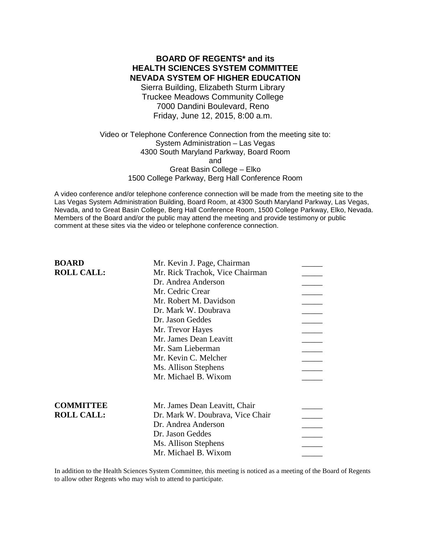# **BOARD OF REGENTS\* and its HEALTH SCIENCES SYSTEM COMMITTEE NEVADA SYSTEM OF HIGHER EDUCATION**

Sierra Building, Elizabeth Sturm Library Truckee Meadows Community College 7000 Dandini Boulevard, Reno Friday, June 12, 2015, 8:00 a.m.

Video or Telephone Conference Connection from the meeting site to: System Administration – Las Vegas 4300 South Maryland Parkway, Board Room and Great Basin College – Elko 1500 College Parkway, Berg Hall Conference Room

A video conference and/or telephone conference connection will be made from the meeting site to the Las Vegas System Administration Building, Board Room, at 4300 South Maryland Parkway, Las Vegas, Nevada, and to Great Basin College, Berg Hall Conference Room, 1500 College Parkway, Elko, Nevada. Members of the Board and/or the public may attend the meeting and provide testimony or public comment at these sites via the video or telephone conference connection.

| <b>BOARD</b>      | Mr. Kevin J. Page, Chairman      |  |
|-------------------|----------------------------------|--|
| <b>ROLL CALL:</b> | Mr. Rick Trachok, Vice Chairman  |  |
|                   | Dr. Andrea Anderson              |  |
|                   | Mr. Cedric Crear                 |  |
|                   | Mr. Robert M. Davidson           |  |
|                   | Dr. Mark W. Doubrava             |  |
|                   | Dr. Jason Geddes                 |  |
|                   | Mr. Trevor Hayes                 |  |
|                   | Mr. James Dean Leavitt           |  |
|                   | Mr. Sam Lieberman                |  |
|                   | Mr. Kevin C. Melcher             |  |
|                   | Ms. Allison Stephens             |  |
|                   | Mr. Michael B. Wixom             |  |
| <b>COMMITTEE</b>  | Mr. James Dean Leavitt, Chair    |  |
| <b>ROLL CALL:</b> | Dr. Mark W. Doubrava, Vice Chair |  |
|                   | Dr. Andrea Anderson              |  |
|                   | Dr. Jason Geddes                 |  |
|                   | Ms. Allison Stephens             |  |
|                   | Mr. Michael B. Wixom             |  |

In addition to the Health Sciences System Committee, this meeting is noticed as a meeting of the Board of Regents to allow other Regents who may wish to attend to participate.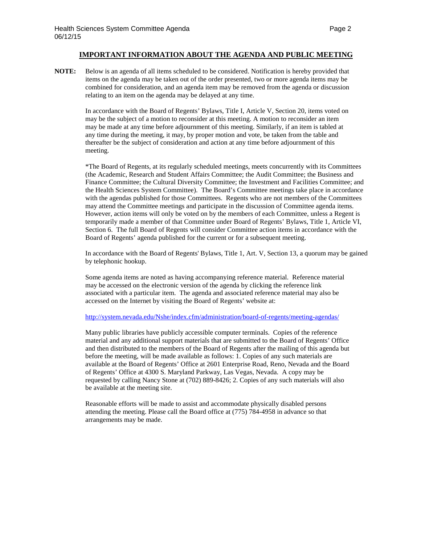### **IMPORTANT INFORMATION ABOUT THE AGENDA AND PUBLIC MEETING**

**NOTE:** Below is an agenda of all items scheduled to be considered. Notification is hereby provided that items on the agenda may be taken out of the order presented, two or more agenda items may be combined for consideration, and an agenda item may be removed from the agenda or discussion relating to an item on the agenda may be delayed at any time.

> In accordance with the Board of Regents' Bylaws, Title I, Article V, Section 20, items voted on may be the subject of a motion to reconsider at this meeting. A motion to reconsider an item may be made at any time before adjournment of this meeting. Similarly, if an item is tabled at any time during the meeting, it may, by proper motion and vote, be taken from the table and thereafter be the subject of consideration and action at any time before adjournment of this meeting.

\*The Board of Regents, at its regularly scheduled meetings, meets concurrently with its Committees (the Academic, Research and Student Affairs Committee; the Audit Committee; the Business and Finance Committee; the Cultural Diversity Committee; the Investment and Facilities Committee; and the Health Sciences System Committee). The Board's Committee meetings take place in accordance with the agendas published for those Committees. Regents who are not members of the Committees may attend the Committee meetings and participate in the discussion of Committee agenda items. However, action items will only be voted on by the members of each Committee, unless a Regent is temporarily made a member of that Committee under Board of Regents' Bylaws, Title 1, Article VI, Section 6. The full Board of Regents will consider Committee action items in accordance with the Board of Regents' agenda published for the current or for a subsequent meeting.

In accordance with the Board of Regents' Bylaws, Title 1, Art. V, Section 13, a quorum may be gained by telephonic hookup.

Some agenda items are noted as having accompanying reference material. Reference material may be accessed on the electronic version of the agenda by clicking the reference link associated with a particular item. The agenda and associated reference material may also be accessed on the Internet by visiting the Board of Regents' website at:

### <http://system.nevada.edu/Nshe/index.cfm/administration/board-of-regents/meeting-agendas/>

Many public libraries have publicly accessible computer terminals. Copies of the reference material and any additional support materials that are submitted to the Board of Regents' Office and then distributed to the members of the Board of Regents after the mailing of this agenda but before the meeting, will be made available as follows: 1. Copies of any such materials are available at the Board of Regents' Office at 2601 Enterprise Road, Reno, Nevada and the Board of Regents' Office at 4300 S. Maryland Parkway, Las Vegas, Nevada. A copy may be requested by calling Nancy Stone at (702) 889-8426; 2. Copies of any such materials will also be available at the meeting site.

Reasonable efforts will be made to assist and accommodate physically disabled persons attending the meeting. Please call the Board office at (775) 784-4958 in advance so that arrangements may be made.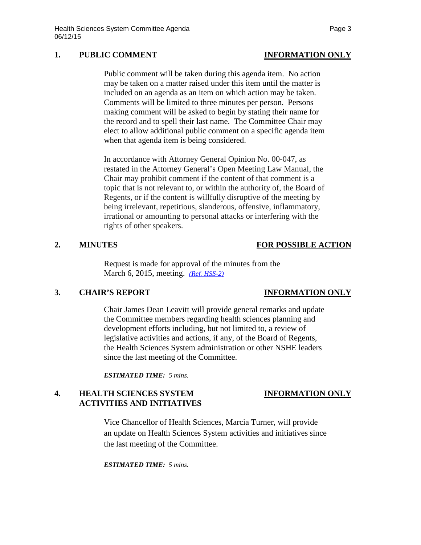### **1. PUBLIC COMMENT INFORMATION ONLY**

Public comment will be taken during this agenda item. No action may be taken on a matter raised under this item until the matter is included on an agenda as an item on which action may be taken. Comments will be limited to three minutes per person. Persons making comment will be asked to begin by stating their name for the record and to spell their last name. The Committee Chair may elect to allow additional public comment on a specific agenda item when that agenda item is being considered.

In accordance with Attorney General Opinion No. 00-047, as restated in the Attorney General's Open Meeting Law Manual, the Chair may prohibit comment if the content of that comment is a topic that is not relevant to, or within the authority of, the Board of Regents, or if the content is willfully disruptive of the meeting by being irrelevant, repetitious, slanderous, offensive, inflammatory, irrational or amounting to personal attacks or interfering with the rights of other speakers.

### **2. MINUTES FOR POSSIBLE ACTION**

Request is made for approval of the minutes from the March 6, 2015, meeting. *[\(Ref. HSS-2\)](http://system.nevada.edu/tasks/sites/Nshe/assets/File/BoardOfRegents/Agendas/2015/jun-mtgs/hss-refs/HSS-2.pdf)*

### **3. CHAIR'S REPORT INFORMATION ONLY**

Chair James Dean Leavitt will provide general remarks and update the Committee members regarding health sciences planning and development efforts including, but not limited to, a review of legislative activities and actions, if any, of the Board of Regents, the Health Sciences System administration or other NSHE leaders since the last meeting of the Committee.

*ESTIMATED TIME: 5 mins.*

## **4. HEALTH SCIENCES SYSTEM INFORMATION ONLY ACTIVITIES AND INITIATIVES**

Vice Chancellor of Health Sciences, Marcia Turner, will provide an update on Health Sciences System activities and initiatives since the last meeting of the Committee.

*ESTIMATED TIME: 5 mins.*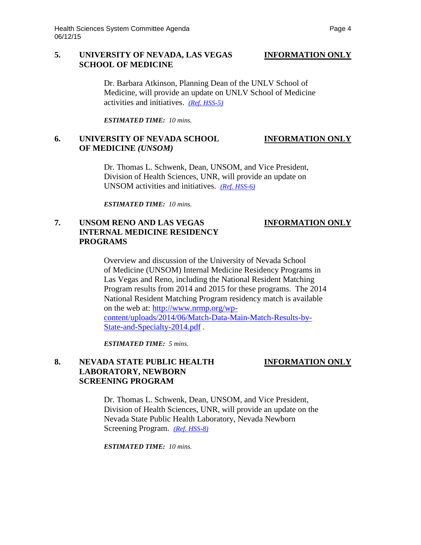### **5. UNIVERSITY OF NEVADA, LAS VEGAS INFORMATION ONLY SCHOOL OF MEDICINE**

Dr. Barbara Atkinson, Planning Dean of the UNLV School of Medicine, will provide an update on UNLV School of Medicine activities and initiatives. *[\(Ref. HSS-5\)](http://system.nevada.edu/tasks/sites/Nshe/assets/File/BoardOfRegents/Agendas/2015/jun-mtgs/hss-refs/HSS-5.pdf)*

*ESTIMATED TIME: 10 mins.*

### **6. UNIVERSITY OF NEVADA SCHOOL INFORMATION ONLY OF MEDICINE** *(UNSOM)*

Dr. Thomas L. Schwenk, Dean, UNSOM, and Vice President, Division of Health Sciences, UNR, will provide an update on UNSOM activities and initiatives. *[\(Ref. HSS-6\)](http://system.nevada.edu/tasks/sites/Nshe/assets/File/BoardOfRegents/Agendas/2015/jun-mtgs/hss-refs/HSS-6.pdf)*

*ESTIMATED TIME: 10 mins.*

## **7. UNSOM RENO AND LAS VEGAS INFORMATION ONLY INTERNAL MEDICINE RESIDENCY PROGRAMS**

Overview and discussion of the University of Nevada School of Medicine (UNSOM) Internal Medicine Residency Programs in Las Vegas and Reno, including the National Resident Matching Program results from 2014 and 2015 for these programs. The 2014 National Resident Matching Program residency match is available on the web at: [http://www.nrmp.org/wp](http://www.nrmp.org/wp-content/uploads/2014/06/Match-Data-Main-Match-Results-by-State-and-Specialty-2014.pdf)[content/uploads/2014/06/Match-Data-Main-Match-Results-by-](http://www.nrmp.org/wp-content/uploads/2014/06/Match-Data-Main-Match-Results-by-State-and-Specialty-2014.pdf)[State-and-Specialty-2014.pdf](http://www.nrmp.org/wp-content/uploads/2014/06/Match-Data-Main-Match-Results-by-State-and-Specialty-2014.pdf) *.* 

*ESTIMATED TIME: 5 mins.*

## 8. NEVADA STATE PUBLIC HEALTH **INFORMATION ONLY LABORATORY, NEWBORN SCREENING PROGRAM**

Dr. Thomas L. Schwenk, Dean, UNSOM, and Vice President, Division of Health Sciences, UNR, will provide an update on the Nevada State Public Health Laboratory, Nevada Newborn Screening Program. *[\(Ref. HSS-8\)](http://system.nevada.edu/tasks/sites/Nshe/assets/File/BoardOfRegents/Agendas/2015/jun-mtgs/hss-refs/HSS-8.pdf)*

*ESTIMATED TIME: 10 mins.*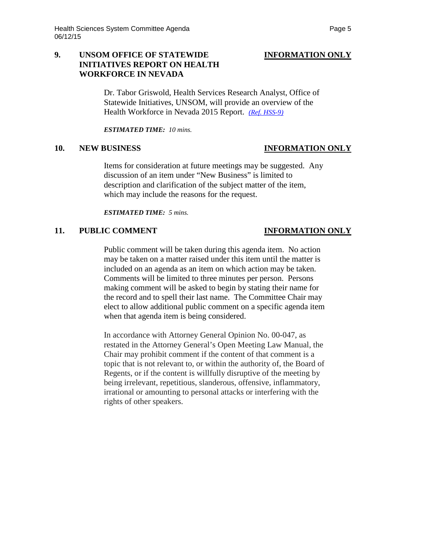## **9. UNSOM OFFICE OF STATEWIDE INFORMATION ONLY INITIATIVES REPORT ON HEALTH WORKFORCE IN NEVADA**

Dr. Tabor Griswold, Health Services Research Analyst, Office of Statewide Initiatives, UNSOM, will provide an overview of the Health Workforce in Nevada 2015 Report. *[\(Ref. HSS-9\)](http://system.nevada.edu/tasks/sites/Nshe/assets/File/BoardOfRegents/Agendas/2015/jun-mtgs/hss-refs/HSS-9.pdf)*

*ESTIMATED TIME: 10 mins.*

Items for consideration at future meetings may be suggested. Any discussion of an item under "New Business" is limited to description and clarification of the subject matter of the item, which may include the reasons for the request.

*ESTIMATED TIME: 5 mins.*

### **11. PUBLIC COMMENT INFORMATION ONLY**

Public comment will be taken during this agenda item. No action may be taken on a matter raised under this item until the matter is included on an agenda as an item on which action may be taken. Comments will be limited to three minutes per person. Persons making comment will be asked to begin by stating their name for the record and to spell their last name. The Committee Chair may elect to allow additional public comment on a specific agenda item when that agenda item is being considered.

In accordance with Attorney General Opinion No. 00-047, as restated in the Attorney General's Open Meeting Law Manual, the Chair may prohibit comment if the content of that comment is a topic that is not relevant to, or within the authority of, the Board of Regents, or if the content is willfully disruptive of the meeting by being irrelevant, repetitious, slanderous, offensive, inflammatory, irrational or amounting to personal attacks or interfering with the rights of other speakers.

### **10. NEW BUSINESS INFORMATION ONLY**